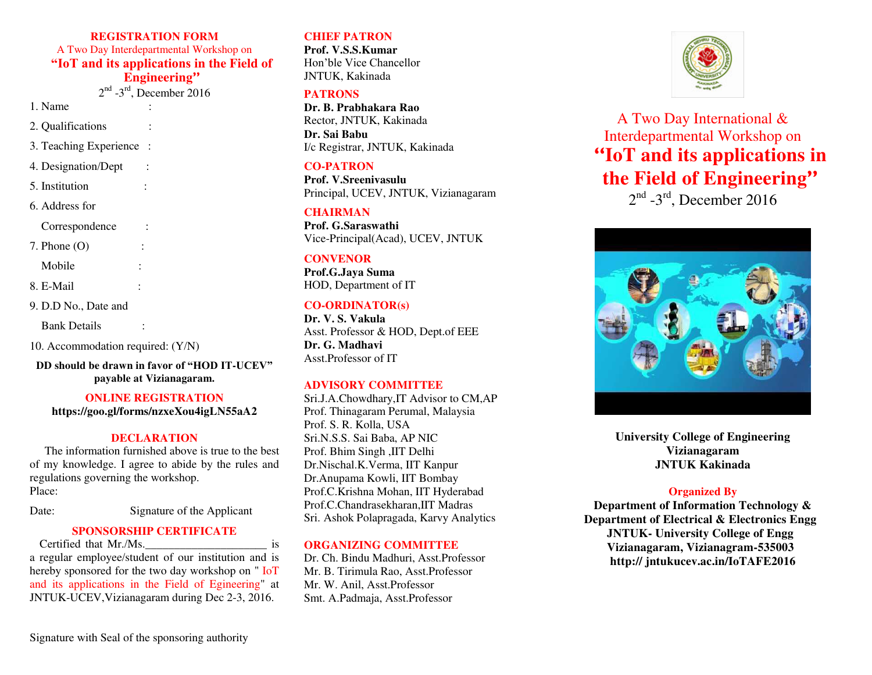**REGISTRATION FORM**  A Two Day Interdepartmental Workshop on **"IoT and its applications in the Field of Engineering"**

 $2<sup>nd</sup>$  -3<sup>rd</sup>, December 2016

1. Name :

2. Qualifications :

3. Teaching Experience :

4. Designation/Dept :

5. Institution :

6. Address for

Correspondence :

7. Phone  $(O)$ 

Mobile :

8. E-Mail :

9. D.D No., Date and

Bank Details :

10. Accommodation required: (Y/N)

**DD should be drawn in favor of "HOD IT-UCEV" payable at Vizianagaram.** 

## **ONLINE REGISTRATION**

**https://goo.gl/forms/nzxeXou4igLN55aA2** 

#### **DECLARATION**

The information furnished above is true to the best of my knowledge. I agree to abide by the rules and regulations governing the workshop. Place:

# Date: Signature of the Applicant

## **SPONSORSHIP CERTIFICATE**

Certified that Mr./Ms. is a regular employee/student of our institution and is hereby sponsored for the two day workshop on " IoT and its applications in the Field of Egineering" at JNTUK-UCEV,Vizianagaram during Dec 2-3, 2016.

## **CHIEF PATRON**

**Prof. V.S.S.Kumar**  Hon'ble Vice Chancellor JNTUK, Kakinada

#### **PATRONS**

**Dr. B. Prabhakara Rao**  Rector, JNTUK, Kakinada **Dr. Sai Babu**  I/c Registrar, JNTUK, Kakinada

#### **CO-PATRON**

**Prof. V.Sreenivasulu**  Principal, UCEV, JNTUK, Vizianagaram

#### **CHAIRMAN**

**Prof. G.Saraswathi**  Vice-Principal(Acad), UCEV, JNTUK

## **CONVENOR**

**Prof.G.Jaya Suma**  HOD, Department of IT

#### **CO-ORDINATOR(s)**

**Dr. V. S. Vakula**  Asst. Professor & HOD, Dept.of EEE **Dr. G. Madhavi**  Asst.Professor of IT

#### **ADVISORY COMMITTEE**

Sri.J.A.Chowdhary,IT Advisor to CM,AP Prof. Thinagaram Perumal, Malaysia Prof. S. R. Kolla, USA Sri.N.S.S. Sai Baba, AP NIC Prof. Bhim Singh ,IIT Delhi Dr.Nischal.K.Verma, IIT Kanpur Dr.Anupama Kowli, IIT Bombay Prof.C.Krishna Mohan, IIT Hyderabad Prof.C.Chandrasekharan,IIT Madras Sri. Ashok Polapragada, Karvy Analytics

#### **ORGANIZING COMMITTEE**

Dr. Ch. Bindu Madhuri, Asst.Professor Mr. B. Tirimula Rao, Asst.Professor Mr. W. Anil, Asst.Professor Smt. A.Padmaja, Asst.Professor



A Two Day International & Interdepartmental Workshop on **"IoT and its applications in the Field of Engineering"**

 $2<sup>nd</sup>$  -3<sup>rd</sup>, December 2016



**University College of Engineering Vizianagaram JNTUK Kakinada** 

## **Organized By**

**Department of Information Technology & Department of Electrical & Electronics Engg JNTUK- University College of Engg Vizianagaram, Vizianagram-535003 http:// jntukucev.ac.in/IoTAFE2016**